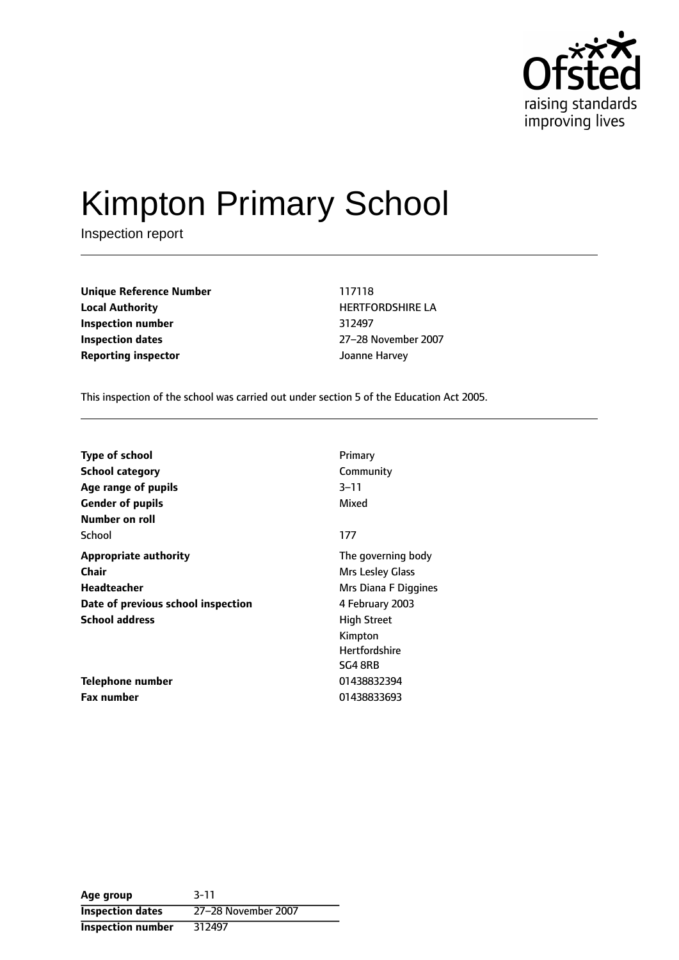

# Kimpton Primary School

Inspection report

**Unique Reference Number** 117118 **Local Authority HERTFORDSHIRE LA Inspection number** 312497 **Inspection dates** 27-28 November 2007 **Reporting inspector** Joanne Harvey

This inspection of the school was carried out under section 5 of the Education Act 2005.

| <b>Type of school</b>              | Primary              |
|------------------------------------|----------------------|
| <b>School category</b>             | Community            |
| Age range of pupils                | 3–11                 |
| <b>Gender of pupils</b>            | Mixed                |
| Number on roll                     |                      |
| School                             | 177                  |
| <b>Appropriate authority</b>       | The governing body   |
| <b>Chair</b>                       | Mrs Lesley Glass     |
| Headteacher                        | Mrs Diana F Diggines |
| Date of previous school inspection | 4 February 2003      |
| <b>School address</b>              | <b>High Street</b>   |
|                                    | Kimpton              |
|                                    | <b>Hertfordshire</b> |
|                                    | SG4 8RB              |
| Telephone number                   | 01438832394          |
| <b>Fax number</b>                  | 01438833693          |

**Age group** 3-11 **Inspection dates** 27-28 November 2007 **Inspection number** 312497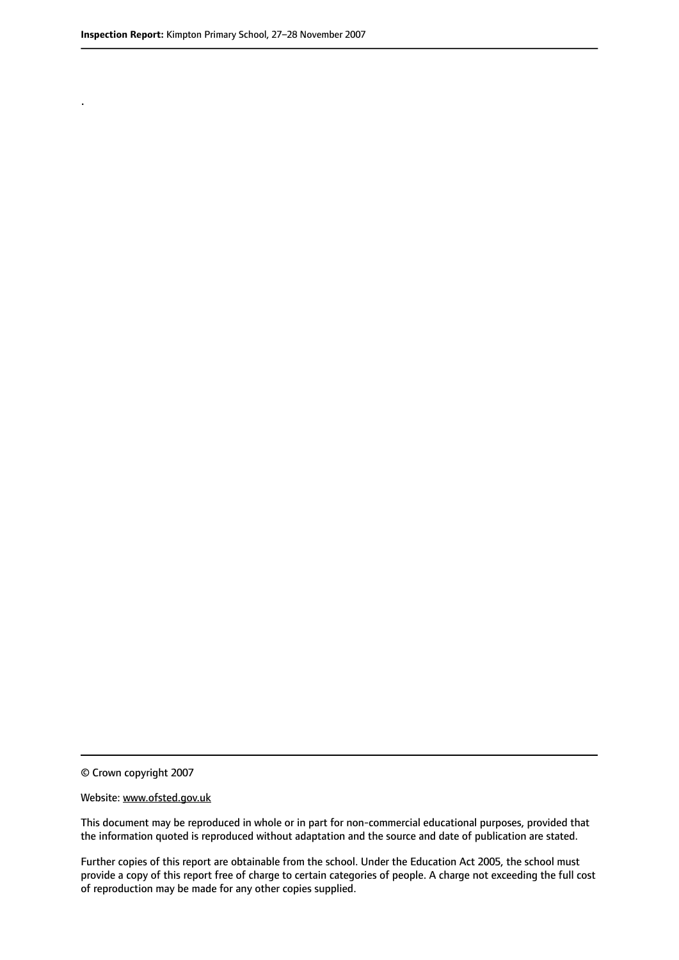.

© Crown copyright 2007

#### Website: www.ofsted.gov.uk

This document may be reproduced in whole or in part for non-commercial educational purposes, provided that the information quoted is reproduced without adaptation and the source and date of publication are stated.

Further copies of this report are obtainable from the school. Under the Education Act 2005, the school must provide a copy of this report free of charge to certain categories of people. A charge not exceeding the full cost of reproduction may be made for any other copies supplied.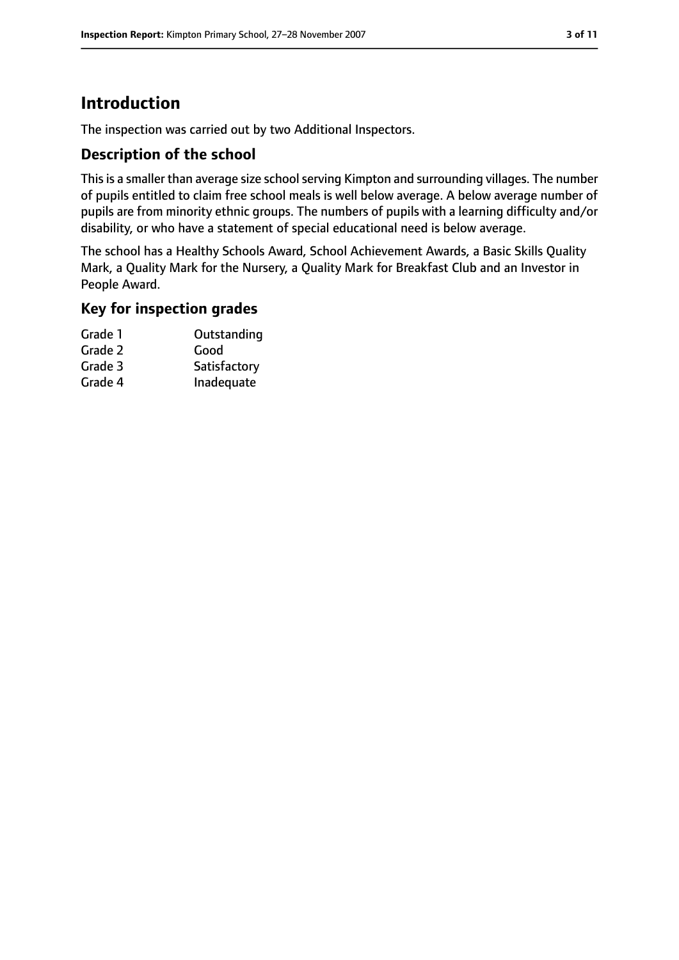# **Introduction**

The inspection was carried out by two Additional Inspectors.

#### **Description of the school**

This is a smaller than average size school serving Kimpton and surrounding villages. The number of pupils entitled to claim free school meals is well below average. A below average number of pupils are from minority ethnic groups. The numbers of pupils with a learning difficulty and/or disability, or who have a statement of special educational need is below average.

The school has a Healthy Schools Award, School Achievement Awards, a Basic Skills Quality Mark, a Quality Mark for the Nursery, a Quality Mark for Breakfast Club and an Investor in People Award.

#### **Key for inspection grades**

| Grade 1 | Outstanding  |
|---------|--------------|
| Grade 2 | Good         |
| Grade 3 | Satisfactory |
| Grade 4 | Inadequate   |
|         |              |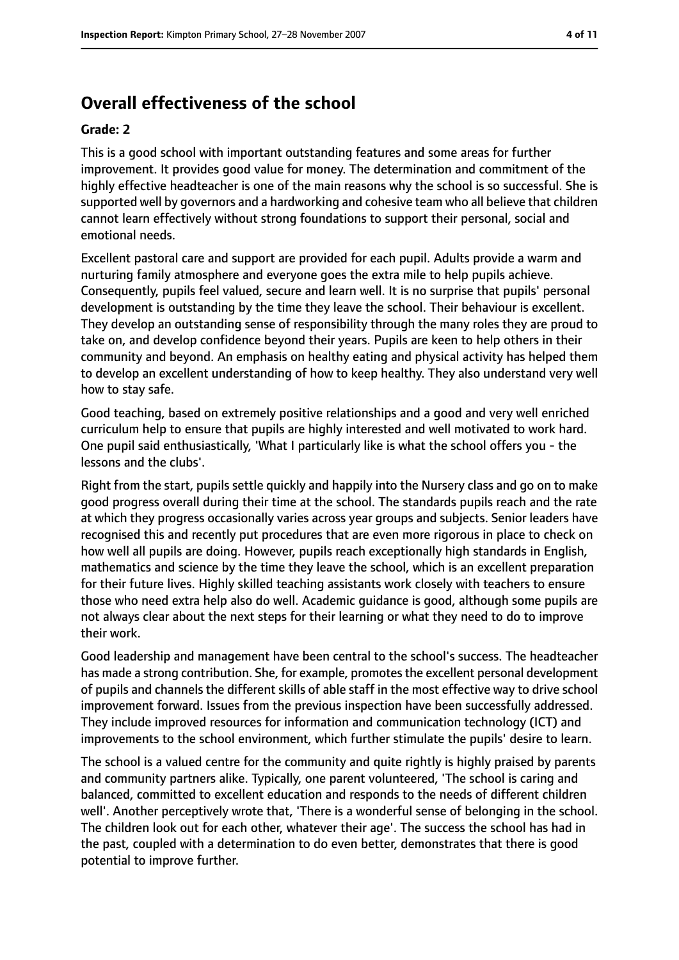# **Overall effectiveness of the school**

#### **Grade: 2**

This is a good school with important outstanding features and some areas for further improvement. It provides good value for money. The determination and commitment of the highly effective headteacher is one of the main reasons why the school is so successful. She is supported well by governors and a hardworking and cohesive team who all believe that children cannot learn effectively without strong foundations to support their personal, social and emotional needs.

Excellent pastoral care and support are provided for each pupil. Adults provide a warm and nurturing family atmosphere and everyone goes the extra mile to help pupils achieve. Consequently, pupils feel valued, secure and learn well. It is no surprise that pupils' personal development is outstanding by the time they leave the school. Their behaviour is excellent. They develop an outstanding sense of responsibility through the many roles they are proud to take on, and develop confidence beyond their years. Pupils are keen to help others in their community and beyond. An emphasis on healthy eating and physical activity has helped them to develop an excellent understanding of how to keep healthy. They also understand very well how to stay safe.

Good teaching, based on extremely positive relationships and a good and very well enriched curriculum help to ensure that pupils are highly interested and well motivated to work hard. One pupil said enthusiastically, 'What I particularly like is what the school offers you - the lessons and the clubs'.

Right from the start, pupils settle quickly and happily into the Nursery class and go on to make good progress overall during their time at the school. The standards pupils reach and the rate at which they progress occasionally varies across year groups and subjects. Senior leaders have recognised this and recently put procedures that are even more rigorous in place to check on how well all pupils are doing. However, pupils reach exceptionally high standards in English, mathematics and science by the time they leave the school, which is an excellent preparation for their future lives. Highly skilled teaching assistants work closely with teachers to ensure those who need extra help also do well. Academic guidance is good, although some pupils are not always clear about the next steps for their learning or what they need to do to improve their work.

Good leadership and management have been central to the school's success. The headteacher has made a strong contribution. She, for example, promotesthe excellent personal development of pupils and channels the different skills of able staff in the most effective way to drive school improvement forward. Issues from the previous inspection have been successfully addressed. They include improved resources for information and communication technology (ICT) and improvements to the school environment, which further stimulate the pupils' desire to learn.

The school is a valued centre for the community and quite rightly is highly praised by parents and community partners alike. Typically, one parent volunteered, 'The school is caring and balanced, committed to excellent education and responds to the needs of different children well'. Another perceptively wrote that, 'There is a wonderful sense of belonging in the school. The children look out for each other, whatever their age'. The success the school has had in the past, coupled with a determination to do even better, demonstrates that there is good potential to improve further.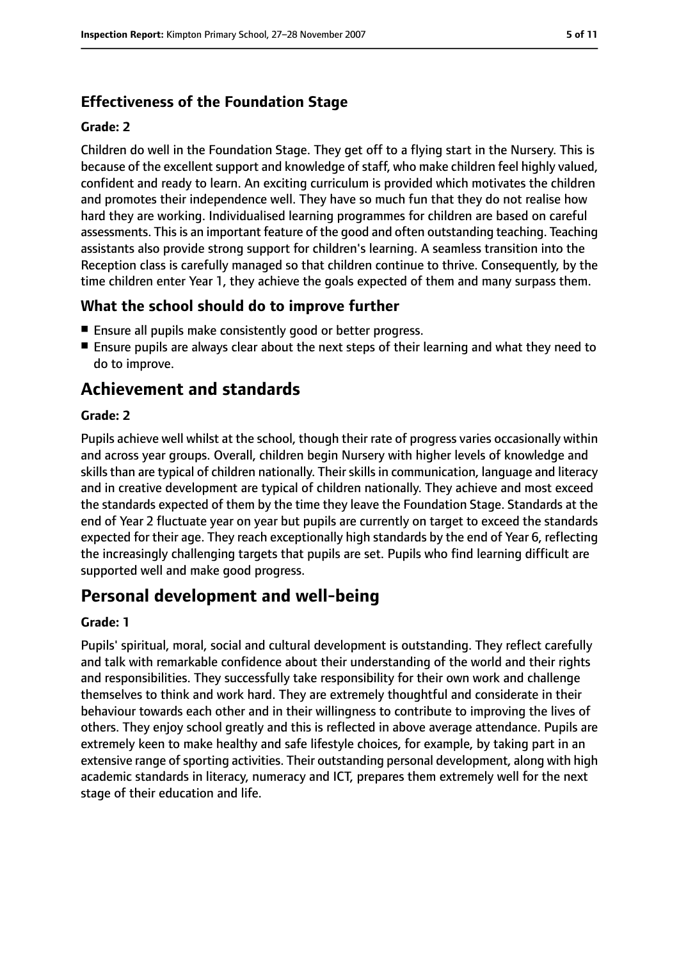# **Effectiveness of the Foundation Stage**

#### **Grade: 2**

Children do well in the Foundation Stage. They get off to a flying start in the Nursery. This is because of the excellent support and knowledge of staff, who make children feel highly valued, confident and ready to learn. An exciting curriculum is provided which motivates the children and promotes their independence well. They have so much fun that they do not realise how hard they are working. Individualised learning programmes for children are based on careful assessments. This is an important feature of the good and often outstanding teaching. Teaching assistants also provide strong support for children's learning. A seamless transition into the Reception class is carefully managed so that children continue to thrive. Consequently, by the time children enter Year 1, they achieve the goals expected of them and many surpass them.

### **What the school should do to improve further**

- Ensure all pupils make consistently good or better progress.
- Ensure pupils are always clear about the next steps of their learning and what they need to do to improve.

# **Achievement and standards**

#### **Grade: 2**

Pupils achieve well whilst at the school, though their rate of progress varies occasionally within and across year groups. Overall, children begin Nursery with higher levels of knowledge and skills than are typical of children nationally. Their skills in communication, language and literacy and in creative development are typical of children nationally. They achieve and most exceed the standards expected of them by the time they leave the Foundation Stage. Standards at the end of Year 2 fluctuate year on year but pupils are currently on target to exceed the standards expected for their age. They reach exceptionally high standards by the end of Year 6, reflecting the increasingly challenging targets that pupils are set. Pupils who find learning difficult are supported well and make good progress.

# **Personal development and well-being**

#### **Grade: 1**

Pupils' spiritual, moral, social and cultural development is outstanding. They reflect carefully and talk with remarkable confidence about their understanding of the world and their rights and responsibilities. They successfully take responsibility for their own work and challenge themselves to think and work hard. They are extremely thoughtful and considerate in their behaviour towards each other and in their willingness to contribute to improving the lives of others. They enjoy school greatly and this is reflected in above average attendance. Pupils are extremely keen to make healthy and safe lifestyle choices, for example, by taking part in an extensive range of sporting activities. Their outstanding personal development, along with high academic standards in literacy, numeracy and ICT, prepares them extremely well for the next stage of their education and life.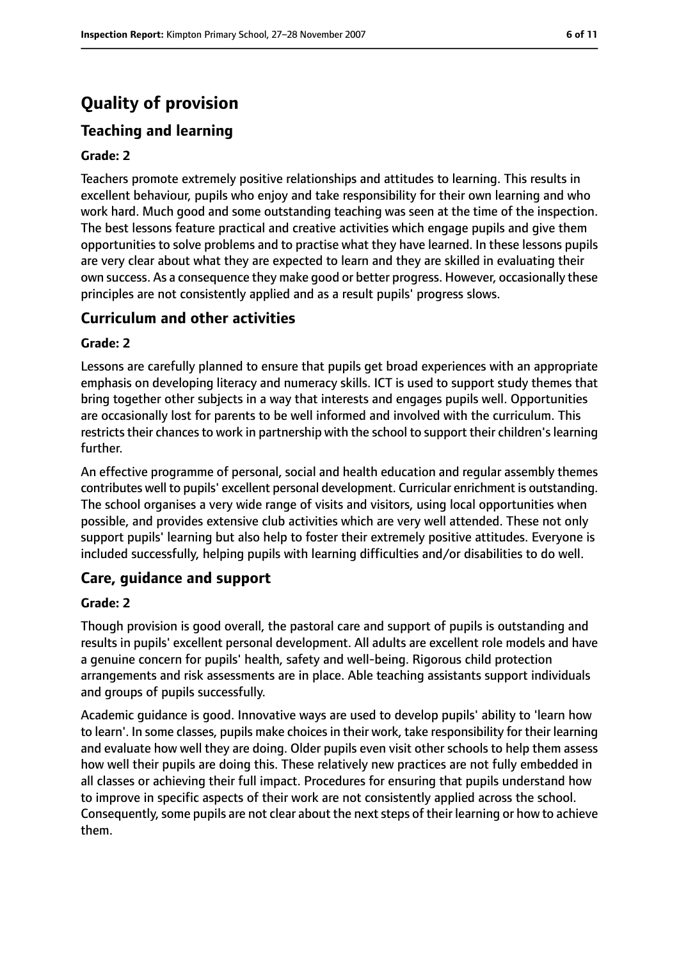# **Quality of provision**

# **Teaching and learning**

#### **Grade: 2**

Teachers promote extremely positive relationships and attitudes to learning. This results in excellent behaviour, pupils who enjoy and take responsibility for their own learning and who work hard. Much good and some outstanding teaching was seen at the time of the inspection. The best lessons feature practical and creative activities which engage pupils and give them opportunities to solve problems and to practise what they have learned. In these lessons pupils are very clear about what they are expected to learn and they are skilled in evaluating their own success. As a consequence they make good or better progress. However, occasionally these principles are not consistently applied and as a result pupils' progress slows.

#### **Curriculum and other activities**

#### **Grade: 2**

Lessons are carefully planned to ensure that pupils get broad experiences with an appropriate emphasis on developing literacy and numeracy skills. ICT is used to support study themes that bring together other subjects in a way that interests and engages pupils well. Opportunities are occasionally lost for parents to be well informed and involved with the curriculum. This restricts their chances to work in partnership with the school to support their children's learning further.

An effective programme of personal, social and health education and regular assembly themes contributes well to pupils' excellent personal development. Curricular enrichment is outstanding. The school organises a very wide range of visits and visitors, using local opportunities when possible, and provides extensive club activities which are very well attended. These not only support pupils' learning but also help to foster their extremely positive attitudes. Everyone is included successfully, helping pupils with learning difficulties and/or disabilities to do well.

#### **Care, guidance and support**

#### **Grade: 2**

Though provision is good overall, the pastoral care and support of pupils is outstanding and results in pupils' excellent personal development. All adults are excellent role models and have a genuine concern for pupils' health, safety and well-being. Rigorous child protection arrangements and risk assessments are in place. Able teaching assistants support individuals and groups of pupils successfully.

Academic guidance is good. Innovative ways are used to develop pupils' ability to 'learn how to learn'. In some classes, pupils make choices in their work, take responsibility for their learning and evaluate how well they are doing. Older pupils even visit other schools to help them assess how well their pupils are doing this. These relatively new practices are not fully embedded in all classes or achieving their full impact. Procedures for ensuring that pupils understand how to improve in specific aspects of their work are not consistently applied across the school. Consequently, some pupils are not clear about the next steps of their learning or how to achieve them.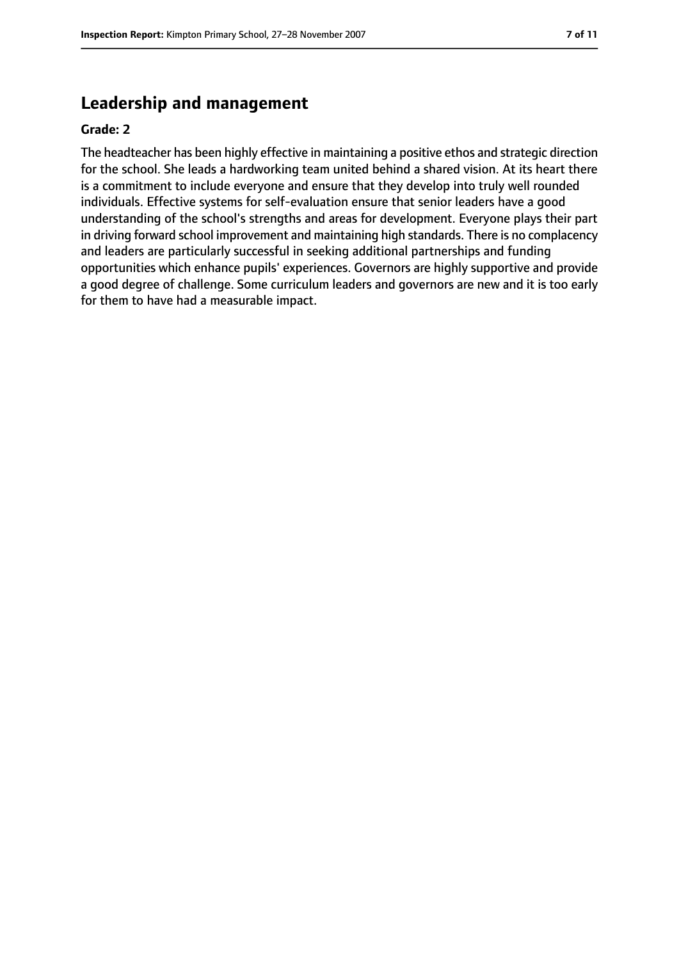## **Leadership and management**

#### **Grade: 2**

The headteacher has been highly effective in maintaining a positive ethos and strategic direction for the school. She leads a hardworking team united behind a shared vision. At its heart there is a commitment to include everyone and ensure that they develop into truly well rounded individuals. Effective systems for self-evaluation ensure that senior leaders have a good understanding of the school's strengths and areas for development. Everyone plays their part in driving forward school improvement and maintaining high standards. There is no complacency and leaders are particularly successful in seeking additional partnerships and funding opportunities which enhance pupils' experiences. Governors are highly supportive and provide a good degree of challenge. Some curriculum leaders and governors are new and it is too early for them to have had a measurable impact.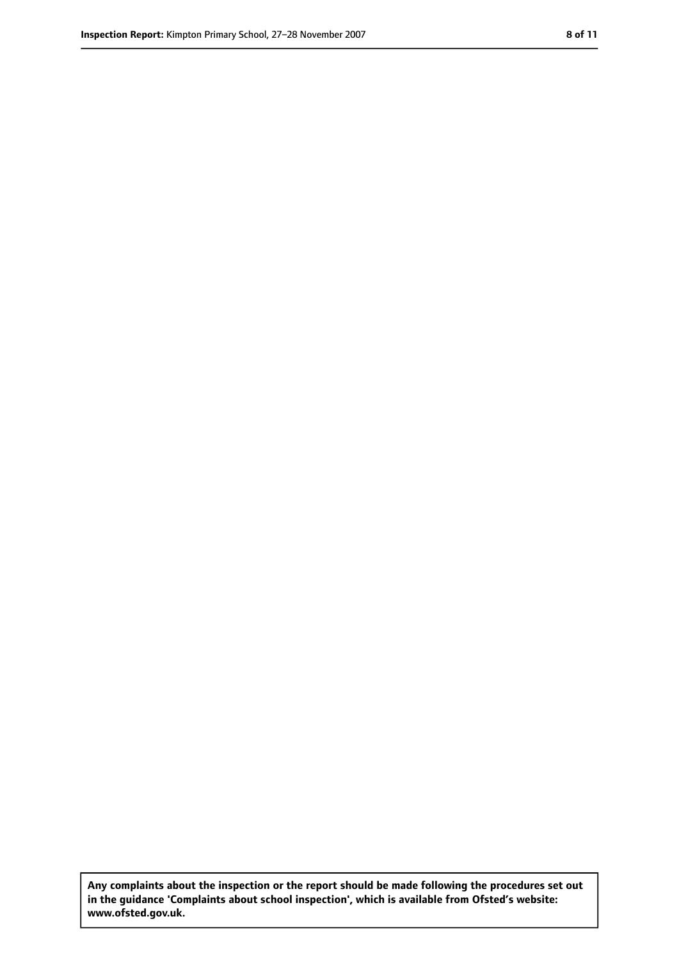**Any complaints about the inspection or the report should be made following the procedures set out in the guidance 'Complaints about school inspection', which is available from Ofsted's website: www.ofsted.gov.uk.**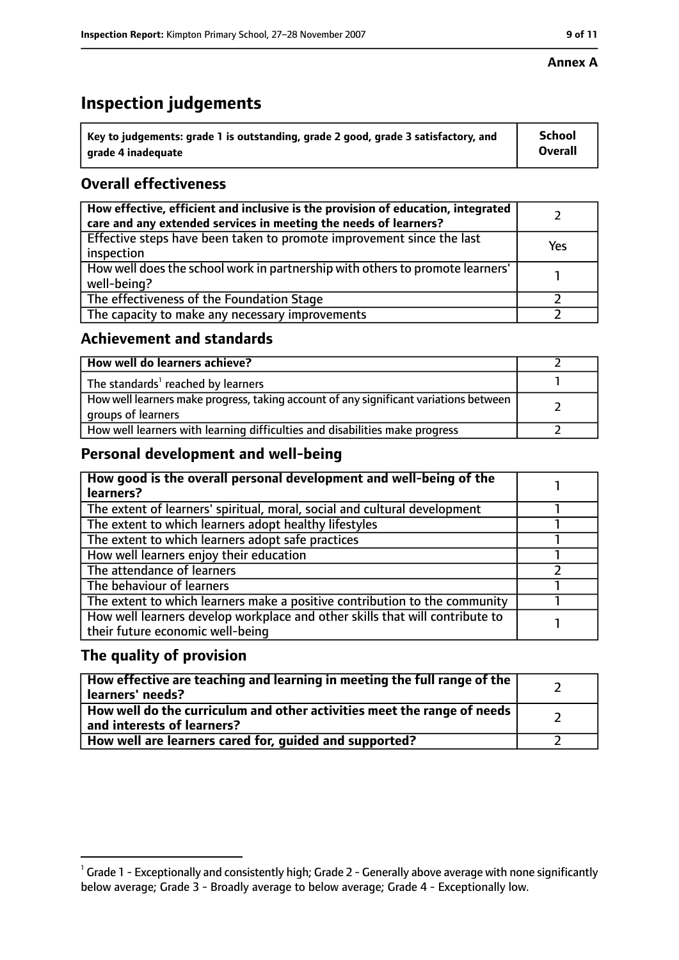#### **Annex A**

# **Inspection judgements**

| $^{\backprime}$ Key to judgements: grade 1 is outstanding, grade 2 good, grade 3 satisfactory, and | <b>School</b>  |
|----------------------------------------------------------------------------------------------------|----------------|
| arade 4 inadequate                                                                                 | <b>Overall</b> |

# **Overall effectiveness**

| How effective, efficient and inclusive is the provision of education, integrated<br>care and any extended services in meeting the needs of learners? |     |
|------------------------------------------------------------------------------------------------------------------------------------------------------|-----|
| Effective steps have been taken to promote improvement since the last<br>inspection                                                                  | Yes |
| How well does the school work in partnership with others to promote learners'<br>well-being?                                                         |     |
| The effectiveness of the Foundation Stage                                                                                                            |     |
| The capacity to make any necessary improvements                                                                                                      |     |

#### **Achievement and standards**

| How well do learners achieve?                                                                               |  |
|-------------------------------------------------------------------------------------------------------------|--|
| The standards <sup>1</sup> reached by learners                                                              |  |
| How well learners make progress, taking account of any significant variations between<br>groups of learners |  |
| How well learners with learning difficulties and disabilities make progress                                 |  |

### **Personal development and well-being**

| How good is the overall personal development and well-being of the<br>learners?                                  |  |
|------------------------------------------------------------------------------------------------------------------|--|
| The extent of learners' spiritual, moral, social and cultural development                                        |  |
| The extent to which learners adopt healthy lifestyles                                                            |  |
| The extent to which learners adopt safe practices                                                                |  |
| How well learners enjoy their education                                                                          |  |
| The attendance of learners                                                                                       |  |
| The behaviour of learners                                                                                        |  |
| The extent to which learners make a positive contribution to the community                                       |  |
| How well learners develop workplace and other skills that will contribute to<br>their future economic well-being |  |

#### **The quality of provision**

| How effective are teaching and learning in meeting the full range of the<br>learners' needs?          |  |
|-------------------------------------------------------------------------------------------------------|--|
| How well do the curriculum and other activities meet the range of needs<br>and interests of learners? |  |
| How well are learners cared for, guided and supported?                                                |  |

 $^1$  Grade 1 - Exceptionally and consistently high; Grade 2 - Generally above average with none significantly below average; Grade 3 - Broadly average to below average; Grade 4 - Exceptionally low.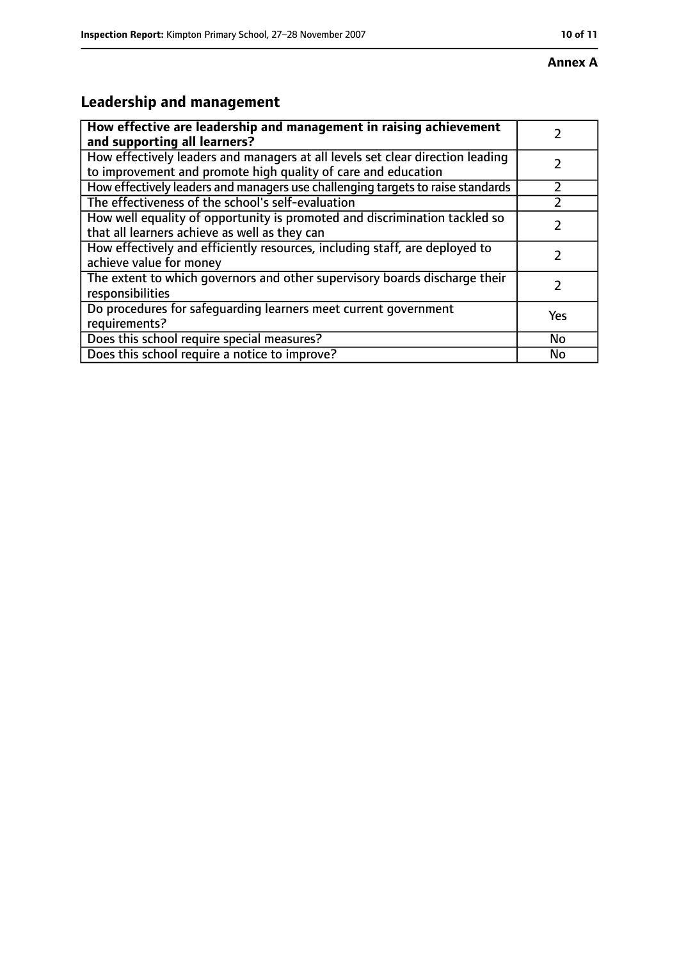# **Leadership and management**

| How effective are leadership and management in raising achievement<br>and supporting all learners?                                              |     |
|-------------------------------------------------------------------------------------------------------------------------------------------------|-----|
| How effectively leaders and managers at all levels set clear direction leading<br>to improvement and promote high quality of care and education |     |
| How effectively leaders and managers use challenging targets to raise standards                                                                 |     |
| The effectiveness of the school's self-evaluation                                                                                               |     |
| How well equality of opportunity is promoted and discrimination tackled so<br>that all learners achieve as well as they can                     |     |
| How effectively and efficiently resources, including staff, are deployed to<br>achieve value for money                                          |     |
| The extent to which governors and other supervisory boards discharge their<br>responsibilities                                                  |     |
| Do procedures for safequarding learners meet current government<br>requirements?                                                                | Yes |
| Does this school require special measures?                                                                                                      | No  |
| Does this school require a notice to improve?                                                                                                   | No  |